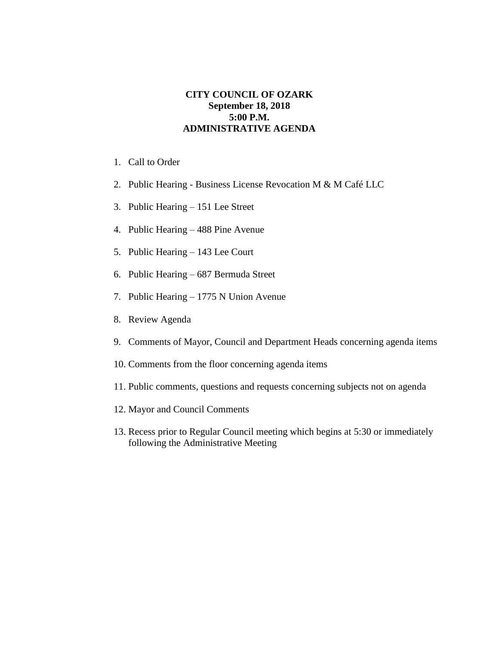## **CITY COUNCIL OF OZARK September 18, 2018 5:00 P.M. ADMINISTRATIVE AGENDA**

- 1. Call to Order
- 2. Public Hearing Business License Revocation M & M Café LLC
- 3. Public Hearing 151 Lee Street
- 4. Public Hearing 488 Pine Avenue
- 5. Public Hearing 143 Lee Court
- 6. Public Hearing 687 Bermuda Street
- 7. Public Hearing 1775 N Union Avenue
- 8. Review Agenda
- 9. Comments of Mayor, Council and Department Heads concerning agenda items
- 10. Comments from the floor concerning agenda items
- 11. Public comments, questions and requests concerning subjects not on agenda
- 12. Mayor and Council Comments
- 13. Recess prior to Regular Council meeting which begins at 5:30 or immediately following the Administrative Meeting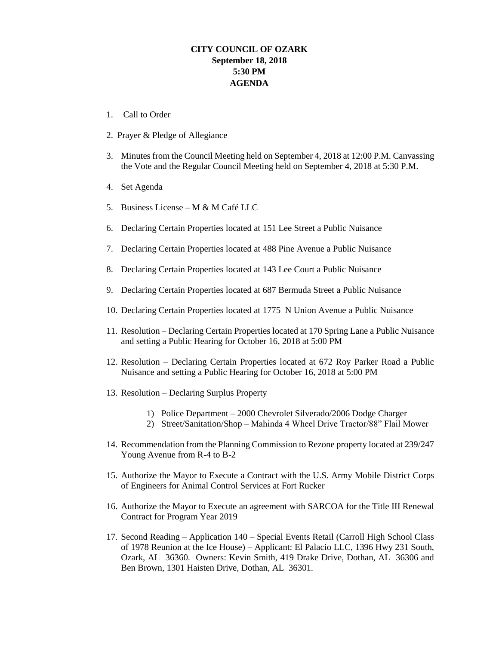## **CITY COUNCIL OF OZARK September 18, 2018 5:30 PM AGENDA**

- 1. Call to Order
- 2. Prayer & Pledge of Allegiance
- 3. Minutes from the Council Meeting held on September 4, 2018 at 12:00 P.M. Canvassing the Vote and the Regular Council Meeting held on September 4, 2018 at 5:30 P.M.
- 4. Set Agenda
- 5. Business License M & M Café LLC
- 6. Declaring Certain Properties located at 151 Lee Street a Public Nuisance
- 7. Declaring Certain Properties located at 488 Pine Avenue a Public Nuisance
- 8. Declaring Certain Properties located at 143 Lee Court a Public Nuisance
- 9. Declaring Certain Properties located at 687 Bermuda Street a Public Nuisance
- 10. Declaring Certain Properties located at 1775 N Union Avenue a Public Nuisance
- 11. Resolution Declaring Certain Properties located at 170 Spring Lane a Public Nuisance and setting a Public Hearing for October 16, 2018 at 5:00 PM
- 12. Resolution Declaring Certain Properties located at 672 Roy Parker Road a Public Nuisance and setting a Public Hearing for October 16, 2018 at 5:00 PM
- 13. Resolution Declaring Surplus Property
	- 1) Police Department 2000 Chevrolet Silverado/2006 Dodge Charger
	- 2) Street/Sanitation/Shop Mahinda 4 Wheel Drive Tractor/88" Flail Mower
- 14. Recommendation from the Planning Commission to Rezone property located at 239/247 Young Avenue from R-4 to B-2
- 15. Authorize the Mayor to Execute a Contract with the U.S. Army Mobile District Corps of Engineers for Animal Control Services at Fort Rucker
- 16. Authorize the Mayor to Execute an agreement with SARCOA for the Title III Renewal Contract for Program Year 2019
- 17. Second Reading Application 140 Special Events Retail (Carroll High School Class of 1978 Reunion at the Ice House) – Applicant: El Palacio LLC, 1396 Hwy 231 South, Ozark, AL 36360. Owners: Kevin Smith, 419 Drake Drive, Dothan, AL 36306 and Ben Brown, 1301 Haisten Drive, Dothan, AL 36301.